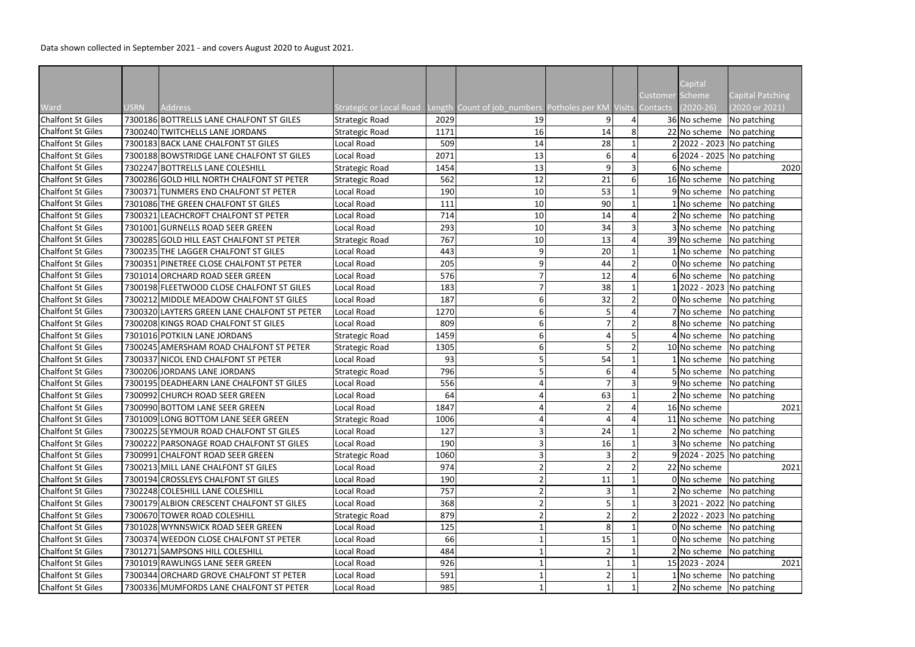|                          |      |                                                                                  |                         |      |                                                             |                |                |                 | Capital                          |                         |
|--------------------------|------|----------------------------------------------------------------------------------|-------------------------|------|-------------------------------------------------------------|----------------|----------------|-----------------|----------------------------------|-------------------------|
|                          |      |                                                                                  |                         |      |                                                             |                |                | Customer Scheme |                                  | <b>Capital Patching</b> |
| Ward                     | USRN | <b>Address</b>                                                                   | Strategic or Local Road |      | Length Count of job_numbers Potholes per KM Visits Contacts |                |                |                 | $(2020-26)$                      | (2020 or 2021)          |
| <b>Chalfont St Giles</b> |      | 7300186 BOTTRELLS LANE CHALFONT ST GILES                                         | Strategic Road          | 2029 | 19                                                          |                |                |                 | 36 No scheme                     | No patching             |
| <b>Chalfont St Giles</b> |      | 7300240 TWITCHELLS LANE JORDANS                                                  | <b>Strategic Road</b>   | 1171 | 16                                                          | 14             | 8 <sup>1</sup> |                 | 22 No scheme   No patching       |                         |
| <b>Chalfont St Giles</b> |      | 7300183 BACK LANE CHALFONT ST GILES<br>7300188 BOWSTRIDGE LANE CHALFONT ST GILES | Local Road              | 509  | 14                                                          | 28             |                |                 | $2 2022 - 2023 $ No patching     |                         |
| <b>Chalfont St Giles</b> |      |                                                                                  | Local Road              | 2071 | 13                                                          | 6              |                |                 | $6 2024 - 2025 $ No patching     |                         |
| <b>Chalfont St Giles</b> |      | 7302247 BOTTRELLS LANE COLESHILL                                                 | Strategic Road          | 1454 | 13                                                          | $\overline{9}$ |                |                 | 6 No scheme                      | 2020                    |
| <b>Chalfont St Giles</b> |      | 7300286 GOLD HILL NORTH CHALFONT ST PETER                                        | Strategic Road          | 562  | 12                                                          | 21             | 6 <sup>1</sup> |                 | 16 No scheme No patching         |                         |
| <b>Chalfont St Giles</b> |      | 7300371 TUNMERS END CHALFONT ST PETER                                            | Local Road              | 190  | 10                                                          | 53             |                |                 |                                  | 9 No scheme No patching |
| <b>Chalfont St Giles</b> |      | 7301086 THE GREEN CHALFONT ST GILES                                              | Local Road              | 111  | 10                                                          | 90             |                |                 | No scheme   No patching          |                         |
| <b>Chalfont St Giles</b> |      | 7300321 LEACHCROFT CHALFONT ST PETER                                             | Local Road              | 714  | 10                                                          | 14             |                |                 | 2 No scheme No patching          |                         |
| <b>Chalfont St Giles</b> |      | 7301001 GURNELLS ROAD SEER GREEN                                                 | Local Road              | 293  | 10                                                          | 34             |                |                 | 3 No scheme No patching          |                         |
| <b>Chalfont St Giles</b> |      | 7300285 GOLD HILL EAST CHALFONT ST PETER                                         | <b>Strategic Road</b>   | 767  | 10                                                          | 13             |                |                 | 39 No scheme No patching         |                         |
| <b>Chalfont St Giles</b> |      | 7300235 THE LAGGER CHALFONT ST GILES                                             | Local Road              | 443  |                                                             | 20             |                |                 | No scheme No patching            |                         |
| <b>Chalfont St Giles</b> |      | 7300351 PINETREE CLOSE CHALFONT ST PETER                                         | Local Road              | 205  |                                                             | 44             |                |                 | $0 $ No scheme   No patching     |                         |
| <b>Chalfont St Giles</b> |      | 7301014 ORCHARD ROAD SEER GREEN                                                  | Local Road              | 576  |                                                             | 12             |                |                 | 6 No scheme No patching          |                         |
| <b>Chalfont St Giles</b> |      | 7300198 FLEETWOOD CLOSE CHALFONT ST GILES                                        | Local Road              | 183  |                                                             | 38             |                |                 | [2022 - 2023 No patching]        |                         |
| <b>Chalfont St Giles</b> |      | 7300212 MIDDLE MEADOW CHALFONT ST GILES                                          | Local Road              | 187  |                                                             | 32             |                |                 | 0 No scheme No patching          |                         |
| <b>Chalfont St Giles</b> |      | 7300320 LAYTERS GREEN LANE CHALFONT ST PETER                                     | Local Road              | 1270 |                                                             |                |                |                 |                                  | 7 No scheme No patching |
| <b>Chalfont St Giles</b> |      | 7300208 KINGS ROAD CHALFONT ST GILES                                             | Local Road              | 809  |                                                             |                |                |                 | 8 No scheme No patching          |                         |
| <b>Chalfont St Giles</b> |      | 7301016 POTKILN LANE JORDANS                                                     | Strategic Road          | 1459 |                                                             |                |                |                 | $4$ No scheme No patching        |                         |
| <b>Chalfont St Giles</b> |      | 7300245 AMERSHAM ROAD CHALFONT ST PETER                                          | <b>Strategic Road</b>   | 1305 |                                                             |                |                |                 | 10 No scheme No patching         |                         |
| <b>Chalfont St Giles</b> |      | 7300337 NICOL END CHALFONT ST PETER                                              | Local Road              | 93   |                                                             | 54             |                |                 | $1 $ No scheme   No patching     |                         |
| <b>Chalfont St Giles</b> |      | 7300206 JORDANS LANE JORDANS                                                     | <b>Strategic Road</b>   | 796  |                                                             |                |                |                 | 5 No scheme No patching          |                         |
| <b>Chalfont St Giles</b> |      | 7300195 DEADHEARN LANE CHALFONT ST GILES                                         | Local Road              | 556  |                                                             |                |                |                 |                                  | 9 No scheme No patching |
| <b>Chalfont St Giles</b> |      | 7300992 CHURCH ROAD SEER GREEN                                                   | Local Road              | 64   |                                                             | 63             |                |                 | 2 No scheme No patching          |                         |
| <b>Chalfont St Giles</b> |      | 7300990 BOTTOM LANE SEER GREEN                                                   | Local Road              | 1847 |                                                             |                |                |                 | 16 No scheme                     | 2021                    |
| <b>Chalfont St Giles</b> |      | 7301009 LONG BOTTOM LANE SEER GREEN                                              | <b>Strategic Road</b>   | 1006 |                                                             |                |                |                 | 11 No scheme $\sqrt{N}$ patching |                         |
| <b>Chalfont St Giles</b> |      | 7300225 SEYMOUR ROAD CHALFONT ST GILES                                           | Local Road              | 127  |                                                             | 24             |                |                 |                                  | 2 No scheme No patching |
| <b>Chalfont St Giles</b> |      | 7300222 PARSONAGE ROAD CHALFONT ST GILES                                         | Local Road              | 190  |                                                             | 16             |                |                 | 3 No scheme No patching          |                         |
| <b>Chalfont St Giles</b> |      | 7300991 CHALFONT ROAD SEER GREEN                                                 | <b>Strategic Road</b>   | 1060 |                                                             |                |                |                 | $9 2024 - 2025 $ No patching     |                         |
| <b>Chalfont St Giles</b> |      | 7300213 MILL LANE CHALFONT ST GILES                                              | Local Road              | 974  |                                                             |                |                |                 | 22 No scheme                     | 2021                    |
| <b>Chalfont St Giles</b> |      | 7300194 CROSSLEYS CHALFONT ST GILES                                              | Local Road              | 190  |                                                             | 11             |                |                 | 0 No scheme No patching          |                         |
| <b>Chalfont St Giles</b> |      | 7302248 COLESHILL LANE COLESHILL                                                 | Local Road              | 757  |                                                             |                |                |                 |                                  | 2 No scheme No patching |
| <b>Chalfont St Giles</b> |      | 7300179 ALBION CRESCENT CHALFONT ST GILES                                        | Local Road              | 368  |                                                             |                |                |                 | $3 2021 - 2022 $ No patching     |                         |
| <b>Chalfont St Giles</b> |      | 7300670 TOWER ROAD COLESHILL                                                     | <b>Strategic Road</b>   | 879  |                                                             |                |                |                 | 2 2022 - 2023 No patching        |                         |
| <b>Chalfont St Giles</b> |      | 7301028 WYNNSWICK ROAD SEER GREEN                                                | Local Road              | 125  |                                                             |                |                |                 |                                  | 0 No scheme No patching |
| <b>Chalfont St Giles</b> |      | 7300374 WEEDON CLOSE CHALFONT ST PETER                                           | Local Road              | 66   |                                                             | 15             |                |                 | 0 No scheme No patching          |                         |
| <b>Chalfont St Giles</b> |      | 7301271 SAMPSONS HILL COLESHILL                                                  | Local Road              | 484  |                                                             |                |                |                 | $2 No scheme$ No patching        |                         |
| <b>Chalfont St Giles</b> |      | 7301019 RAWLINGS LANE SEER GREEN                                                 | Local Road              | 926  |                                                             |                |                |                 | 15 2023 - 2024                   | 2021                    |
| <b>Chalfont St Giles</b> |      | 7300344 ORCHARD GROVE CHALFONT ST PETER                                          | Local Road              | 591  |                                                             |                |                |                 | $1$ No scheme No patching        |                         |
| <b>Chalfont St Giles</b> |      | 7300336 MUMFORDS LANE CHALFONT ST PETER                                          | Local Road              | 985  |                                                             |                |                |                 | $2 No scheme$ No patching        |                         |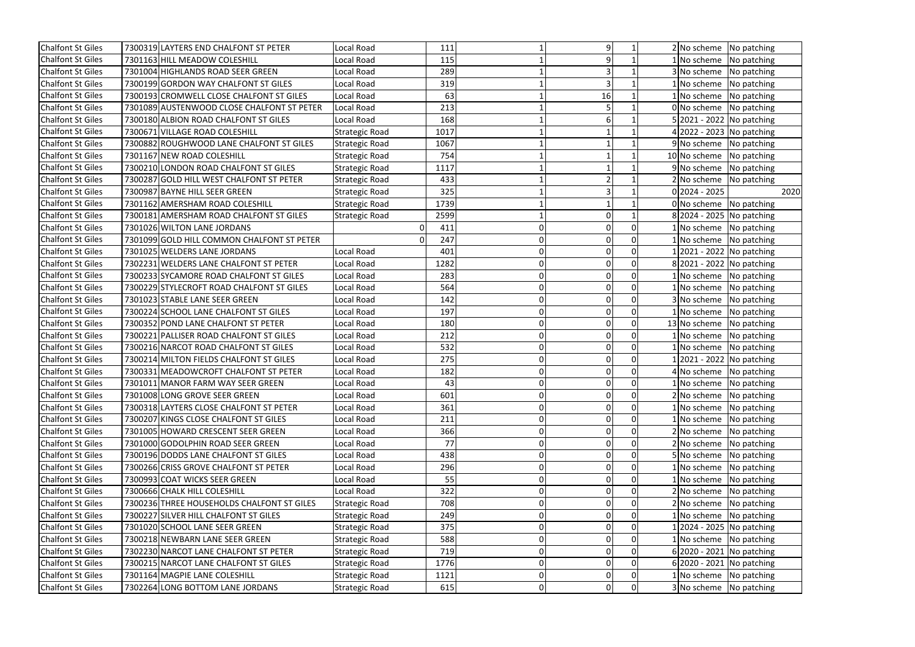| <b>Chalfont St Giles</b><br>7300319 LAYTERS END CHALFONT ST PETER<br>Local Road<br>111                     |                | 2 No scheme               | No patching                  |
|------------------------------------------------------------------------------------------------------------|----------------|---------------------------|------------------------------|
| <b>Chalfont St Giles</b><br>7301163 HILL MEADOW COLESHILL<br>115<br>Local Road                             |                | No scheme                 | No patching                  |
| <b>Chalfont St Giles</b><br>7301004 HIGHLANDS ROAD SEER GREEN<br>289<br>Local Road                         |                | 3 No scheme               | No patching                  |
| 319<br><b>Chalfont St Giles</b><br>7300199 GORDON WAY CHALFONT ST GILES<br>Local Road                      |                | No scheme                 | No patching                  |
| <b>Chalfont St Giles</b><br>63<br>7300193 CROMWELL CLOSE CHALFONT ST GILES<br>Local Road<br>16             |                | 1 No scheme               | No patching                  |
| <b>Chalfont St Giles</b><br>7301089 AUSTENWOOD CLOSE CHALFONT ST PETER<br>213<br>Local Road                |                | $0 $ No scheme            | No patching                  |
| 168<br><b>Chalfont St Giles</b><br>7300180 ALBION ROAD CHALFONT ST GILES<br>Local Road                     |                |                           | $5 2021 - 2022 $ No patching |
| <b>Chalfont St Giles</b><br>7300671 VILLAGE ROAD COLESHILL<br><b>Strategic Road</b><br>1017                |                | 4 2022 - 2023 No patching |                              |
| <b>Chalfont St Giles</b><br>7300882 ROUGHWOOD LANE CHALFONT ST GILES<br>1067<br><b>Strategic Road</b>      |                | 9 No scheme               | No patching                  |
| <b>Chalfont St Giles</b><br>7301167 NEW ROAD COLESHILL<br>754<br><b>Strategic Road</b>                     |                | 10 No scheme              | No patching                  |
| <b>Chalfont St Giles</b><br>7300210 LONDON ROAD CHALFONT ST GILES<br>1117<br><b>Strategic Road</b>         |                | 9 No scheme               | No patching                  |
| <b>Chalfont St Giles</b><br>433<br>7300287 GOLD HILL WEST CHALFONT ST PETER<br><b>Strategic Road</b>       |                | 2 No scheme               | No patching                  |
| 7300987 BAYNE HILL SEER GREEN<br>325<br><b>Chalfont St Giles</b><br><b>Strategic Road</b>                  |                | $0 2024 - 2025$           | 2020                         |
| <b>Chalfont St Giles</b><br>7301162 AMERSHAM ROAD COLESHILL<br>1739<br><b>Strategic Road</b>               |                |                           | $0 $ No scheme   No patching |
| <b>Chalfont St Giles</b><br>7300181 AMERSHAM ROAD CHALFONT ST GILES<br>2599<br><b>Strategic Road</b>       |                |                           | 8 2024 - 2025 No patching    |
| <b>Chalfont St Giles</b><br>7301026 WILTON LANE JORDANS<br>411                                             | $\Omega$       | No scheme                 | No patching                  |
| 247<br><b>Chalfont St Giles</b><br>7301099 GOLD HILL COMMON CHALFONT ST PETER                              | $\overline{0}$ |                           | No scheme   No patching      |
| <b>Chalfont St Giles</b><br>7301025 WELDERS LANE JORDANS<br>Local Road<br>401<br>0                         | $\overline{0}$ |                           | 2021 - 2022 No patching      |
| <b>Chalfont St Giles</b><br>7302231 WELDERS LANE CHALFONT ST PETER<br>1282<br>Local Road<br>0              | $\overline{0}$ |                           | 8 2021 - 2022 No patching    |
| 283<br><b>Chalfont St Giles</b><br>7300233 SYCAMORE ROAD CHALFONT ST GILES<br>Local Road<br>$\overline{0}$ | 0              |                           | 1 No scheme No patching      |
| <b>Chalfont St Giles</b><br>7300229 STYLECROFT ROAD CHALFONT ST GILES<br>564<br>Local Road                 | $\overline{0}$ | No scheme                 | No patching                  |
| <b>Chalfont St Giles</b><br>7301023 STABLE LANE SEER GREEN<br>142<br>Local Road                            | $\overline{0}$ | 3 No scheme               | No patching                  |
| 7300224 SCHOOL LANE CHALFONT ST GILES<br>197<br><b>Chalfont St Giles</b><br>Local Road<br>0                | $\overline{0}$ | No scheme                 | No patching                  |
| <b>Chalfont St Giles</b><br>180<br>7300352 POND LANE CHALFONT ST PETER<br>Local Road<br>0                  | $\overline{0}$ | 13 No scheme              | No patching                  |
| <b>Chalfont St Giles</b><br>212<br>7300221 PALLISER ROAD CHALFONT ST GILES<br>Local Road<br>01             | 0              | 1 No scheme               | No patching                  |
| <b>Chalfont St Giles</b><br>7300216 NARCOT ROAD CHALFONT ST GILES<br>532<br>Local Road                     | $\overline{0}$ | No scheme                 | No patching                  |
| <b>Chalfont St Giles</b><br>7300214 MILTON FIELDS CHALFONT ST GILES<br>275<br>Local Road<br>0              | 0              |                           | 2021 - 2022 No patching      |
| <b>Chalfont St Giles</b><br>7300331 MEADOWCROFT CHALFONT ST PETER<br>182<br>Local Road<br>01               | $\overline{0}$ |                           | 4 No scheme No patching      |
| <b>Chalfont St Giles</b><br>43<br>7301011 MANOR FARM WAY SEER GREEN<br>Local Road<br>ΩI                    |                |                           | LNo scheme No patching       |
| <b>Chalfont St Giles</b><br>601<br>ΟI<br>7301008 LONG GROVE SEER GREEN<br>Local Road                       | $\overline{0}$ | 2 No scheme               | No patching                  |
| <b>Chalfont St Giles</b><br>7300318 LAYTERS CLOSE CHALFONT ST PETER<br>361<br>Local Road                   | $\overline{0}$ | No scheme                 | No patching                  |
| 7300207 KINGS CLOSE CHALFONT ST GILES<br>211<br><b>Chalfont St Giles</b><br>Local Road<br>01               | 0              | No scheme                 | No patching                  |
| <b>Chalfont St Giles</b><br>7301005 HOWARD CRESCENT SEER GREEN<br>Local Road<br>366<br>01                  | $\overline{0}$ | 2 No scheme               | No patching                  |
| 7301000 GODOLPHIN ROAD SEER GREEN<br>77<br><b>Chalfont St Giles</b><br>Local Road<br>0                     |                | 2 No scheme               | No patching                  |
| <b>Chalfont St Giles</b><br>7300196 DODDS LANE CHALFONT ST GILES<br>438<br>Local Road<br>Οl                | 0              | 5 No scheme               | No patching                  |
| <b>Chalfont St Giles</b><br>296<br>7300266 CRISS GROVE CHALFONT ST PETER<br>Local Road                     |                | No scheme                 | No patching                  |
| 55<br>7300993 COAT WICKS SEER GREEN<br><b>Chalfont St Giles</b><br>Local Road<br>0                         | $\Omega$       | No scheme                 | No patching                  |
| <b>Chalfont St Giles</b><br>322<br>7300666 CHALK HILL COLESHILL<br>Local Road<br>01                        | $\overline{0}$ | 2 No scheme               | No patching                  |
| 708<br><b>Chalfont St Giles</b><br>7300236 THREE HOUSEHOLDS CHALFONT ST GILES<br>Strategic Road<br>0       |                | 2 No scheme               | No patching                  |
| <b>Chalfont St Giles</b><br>7300227 SILVER HILL CHALFONT ST GILES<br>249<br><b>Strategic Road</b><br>Οl    | $\Omega$       | 1 No scheme               | No patching                  |
| <b>Chalfont St Giles</b><br>7301020 SCHOOL LANE SEER GREEN<br>375<br><b>Strategic Road</b><br>01           | $\Omega$       |                           | 2024 - 2025 No patching      |
| 588<br><b>Chalfont St Giles</b><br>7300218 NEWBARN LANE SEER GREEN<br><b>Strategic Road</b><br>01          | $\Omega$       |                           | No scheme No patching        |
| <b>Chalfont St Giles</b><br>7302230 NARCOT LANE CHALFONT ST PETER<br><b>Strategic Road</b><br>719<br>01    | $\overline{0}$ |                           | $6 2020 - 2021 $ No patching |
| <b>Chalfont St Giles</b><br>1776<br>7300215 NARCOT LANE CHALFONT ST GILES<br><b>Strategic Road</b><br>01   |                |                           | 6 2020 - 2021 No patching    |
| <b>Chalfont St Giles</b><br>7301164 MAGPIE LANE COLESHILL<br>οI<br><b>Strategic Road</b><br>1121           | 0              |                           | $1 $ No scheme  No patching  |
| <b>Chalfont St Giles</b><br>7302264 LONG BOTTOM LANE JORDANS<br>615<br> 0 <br><b>Strategic Road</b>        | $\overline{0}$ |                           | 3 No scheme No patching      |